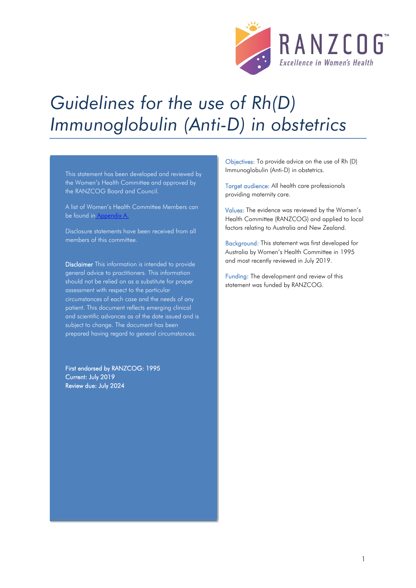

# *Guidelines for the use of Rh(D) Immunoglobulin (Anti-D) in obstetrics*

This statement has been developed and reviewed by the Women's Health Committee and approved by the RANZCOG Board and Council.

A list of Women's Health Committee Members can be found in Appendix A.

Disclosure statements have been received from all members of this committee.

Disclaimer This information is intended to provide general advice to practitioners. This information should not be relied on as a substitute for proper assessment with respect to the particular circumstances of each case and the needs of any patient. This document reflects emerging clinical and scientific advances as of the date issued and is subject to change. The document has been prepared having regard to general circumstances.

First endorsed by RANZCOG: 1995 Current: July 2019 Review due: July 2024

Objectives: To provide advice on the use of Rh (D) Immunoglobulin (Anti-D) in obstetrics.

Target audience: All health care professionals providing maternity care.

Values: The evidence was reviewed by the Women's Health Committee (RANZCOG) and applied to local factors relating to Australia and New Zealand.

Background: This statement was first developed for Australia by Women's Health Committee in 1995 and most recently reviewed in July 2019.

Funding: The development and review of this statement was funded by RANZCOG.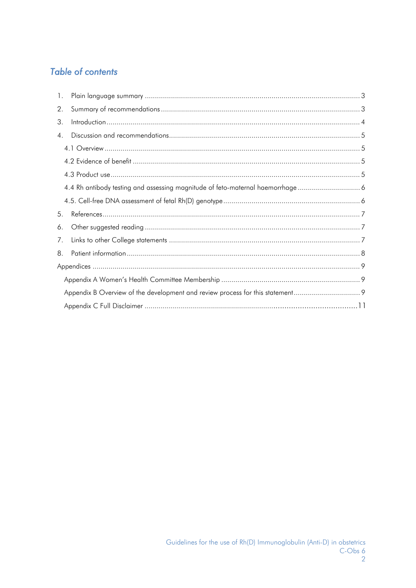# **Table of contents**

| $\mathbf{1}$ . |                                                                              |  |  |  |
|----------------|------------------------------------------------------------------------------|--|--|--|
| 2.             |                                                                              |  |  |  |
| 3.             |                                                                              |  |  |  |
| 4 <sub>1</sub> |                                                                              |  |  |  |
|                |                                                                              |  |  |  |
|                |                                                                              |  |  |  |
|                |                                                                              |  |  |  |
|                | 4.4 Rh antibody testing and assessing magnitude of feto-maternal haemorrhage |  |  |  |
|                |                                                                              |  |  |  |
| 5.             |                                                                              |  |  |  |
| 6.             |                                                                              |  |  |  |
| 7.             |                                                                              |  |  |  |
| 8.             |                                                                              |  |  |  |
|                |                                                                              |  |  |  |
|                |                                                                              |  |  |  |
|                |                                                                              |  |  |  |
|                |                                                                              |  |  |  |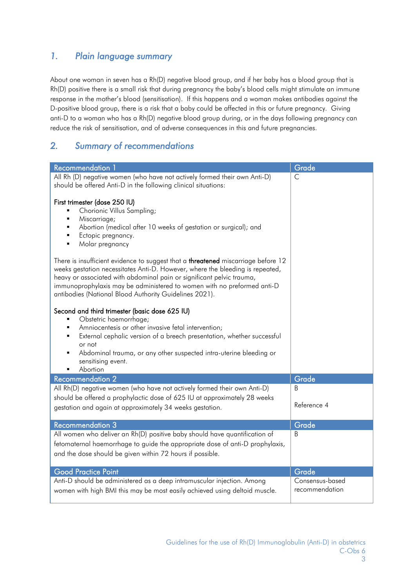# <span id="page-2-0"></span>*1. Plain language summary*

About one woman in seven has a Rh(D) negative blood group, and if her baby has a blood group that is Rh(D) positive there is a small risk that during pregnancy the baby's blood cells might stimulate an immune response in the mother's blood (sensitisation). If this happens and a woman makes antibodies against the D-positive blood group, there is a risk that a baby could be affected in this or future pregnancy. Giving anti-D to a woman who has a Rh(D) negative blood group during, or in the days following pregnancy can reduce the risk of sensitisation, and of adverse consequences in this and future pregnancies.

# <span id="page-2-1"></span>*2. Summary of recommendations*

| Recommendation 1                                                                                                                                                                                                                                                                                                                                                                        | Grade            |  |  |  |
|-----------------------------------------------------------------------------------------------------------------------------------------------------------------------------------------------------------------------------------------------------------------------------------------------------------------------------------------------------------------------------------------|------------------|--|--|--|
| All Rh (D) negative women (who have not actively formed their own Anti-D)<br>should be offered Anti-D in the following clinical situations:                                                                                                                                                                                                                                             | $\mathsf{C}$     |  |  |  |
| First trimester (dose 250 IU)<br>Chorionic Villus Sampling;<br>٠<br>Miscarriage;<br>٠<br>Abortion (medical after 10 weeks of gestation or surgical); and<br>Ectopic pregnancy.<br>٠<br>Molar pregnancy<br>$\blacksquare$                                                                                                                                                                |                  |  |  |  |
| There is insufficient evidence to suggest that a <b>threatened</b> miscarriage before 12<br>weeks gestation necessitates Anti-D. However, where the bleeding is repeated,<br>heavy or associated with abdominal pain or significant pelvic trauma,<br>immunoprophylaxis may be administered to women with no preformed anti-D<br>antibodies (National Blood Authority Guidelines 2021). |                  |  |  |  |
| Second and third trimester (basic dose 625 IU)<br>Obstetric haemorrhage;<br>Amniocentesis or other invasive fetal intervention;<br>٠<br>External cephalic version of a breech presentation, whether successful<br>٠<br>or not<br>Abdominal trauma, or any other suspected intra-uterine bleeding or<br>sensitising event.<br>Abortion                                                   |                  |  |  |  |
| <b>Recommendation 2</b>                                                                                                                                                                                                                                                                                                                                                                 | Grade            |  |  |  |
| All Rh(D) negative women (who have not actively formed their own Anti-D)<br>should be offered a prophylactic dose of 625 IU at approximately 28 weeks<br>gestation and again at approximately 34 weeks gestation.                                                                                                                                                                       | B<br>Reference 4 |  |  |  |
| <b>Recommendation 3</b>                                                                                                                                                                                                                                                                                                                                                                 | Grade            |  |  |  |
| All women who deliver an Rh(D) positive baby should have quantification of<br>B<br>fetomaternal haemorrhage to guide the appropriate dose of anti-D prophylaxis,<br>and the dose should be given within 72 hours if possible.                                                                                                                                                           |                  |  |  |  |
| <b>Good Practice Point</b><br>Grade                                                                                                                                                                                                                                                                                                                                                     |                  |  |  |  |
| Anti-D should be administered as a deep intramuscular injection. Among<br>Consensus-based<br>recommendation<br>women with high BMI this may be most easily achieved using deltoid muscle.                                                                                                                                                                                               |                  |  |  |  |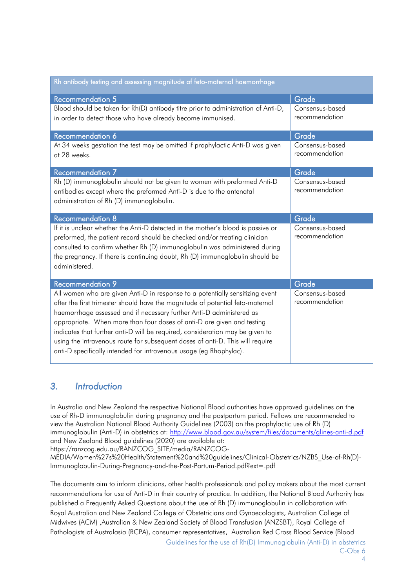| Rh antibody testing and assessing magnitude of feto-maternal haemorrhage                                                                                                                                                                                                                                                                                                                                                                                                                                                                                  |                                   |  |  |  |  |
|-----------------------------------------------------------------------------------------------------------------------------------------------------------------------------------------------------------------------------------------------------------------------------------------------------------------------------------------------------------------------------------------------------------------------------------------------------------------------------------------------------------------------------------------------------------|-----------------------------------|--|--|--|--|
| <b>Recommendation 5</b>                                                                                                                                                                                                                                                                                                                                                                                                                                                                                                                                   | Grade                             |  |  |  |  |
| Blood should be taken for Rh(D) antibody titre prior to administration of Anti-D,<br>in order to detect those who have already become immunised.                                                                                                                                                                                                                                                                                                                                                                                                          | Consensus-based<br>recommendation |  |  |  |  |
| Recommendation 6                                                                                                                                                                                                                                                                                                                                                                                                                                                                                                                                          | Grade                             |  |  |  |  |
| At 34 weeks gestation the test may be omitted if prophylactic Anti-D was given<br>at 28 weeks.                                                                                                                                                                                                                                                                                                                                                                                                                                                            | Consensus-based<br>recommendation |  |  |  |  |
| <b>Recommendation 7</b>                                                                                                                                                                                                                                                                                                                                                                                                                                                                                                                                   | Grade                             |  |  |  |  |
| Rh (D) immunoglobulin should not be given to women with preformed Anti-D<br>antibodies except where the preformed Anti-D is due to the antenatal<br>administration of Rh (D) immunoglobulin.                                                                                                                                                                                                                                                                                                                                                              | Consensus-based<br>recommendation |  |  |  |  |
| <b>Recommendation 8</b>                                                                                                                                                                                                                                                                                                                                                                                                                                                                                                                                   | Grade                             |  |  |  |  |
| Consensus-based<br>If it is unclear whether the Anti-D detected in the mother's blood is passive or<br>recommendation<br>preformed, the patient record should be checked and/or treating clinician<br>consulted to confirm whether Rh (D) immunoglobulin was administered during<br>the pregnancy. If there is continuing doubt, Rh (D) immunoglobulin should be<br>administered.                                                                                                                                                                         |                                   |  |  |  |  |
| <b>Recommendation 9</b>                                                                                                                                                                                                                                                                                                                                                                                                                                                                                                                                   | Grade                             |  |  |  |  |
| All women who are given Anti-D in response to a potentially sensitizing event<br>after the first trimester should have the magnitude of potential feto-maternal<br>haemorrhage assessed and if necessary further Anti-D administered as<br>appropriate. When more than four doses of anti-D are given and testing<br>indicates that further anti-D will be required, consideration may be given to<br>using the intravenous route for subsequent doses of anti-D. This will require<br>anti-D specifically intended for intravenous usage (eg Rhophylac). | Consensus-based<br>recommendation |  |  |  |  |

## <span id="page-3-0"></span>*3. Introduction*

In Australia and New Zealand the respective National Blood authorities have approved guidelines on the use of Rh-D immunoglobulin during pregnancy and the postpartum period. Fellows are recommended to view the Australian National Blood Authority Guidelines (2003) on the prophylactic use of Rh (D) immunoglobulin (Anti-D) in obstetrics at: <http://www.blood.gov.au/system/files/documents/glines-anti-d.pdf> and New Zealand Blood guidelines (2020) are available at:

https://ranzcog.edu.au/RANZCOG\_SITE/media/RANZCOG-

MEDIA/Women%27s%20Health/Statement%20and%20guidelines/Clinical-Obstetrics/NZBS\_Use-of-Rh(D)- Immunoglobulin-During-Pregnancy-and-the-Post-Partum-Period.pdf?ext=.pdf

The documents aim to inform clinicians, other health professionals and policy makers about the most current recommendations for use of Anti-D in their country of practice. In addition, the National Blood Authority has published a Frequently Asked Questions about the use of Rh (D) immunoglobulin in collaboration with Royal Australian and New Zealand College of Obstetricians and Gynaecologists, Australian College of Midwives (ACM) ,Australian & New Zealand Society of Blood Transfusion (ANZSBT), Royal College of Pathologists of Australasia (RCPA), consumer representatives, Australian Red Cross Blood Service (Blood

Guidelines for the use of Rh(D) Immunoglobulin (Anti-D) in obstetrics C-Obs 6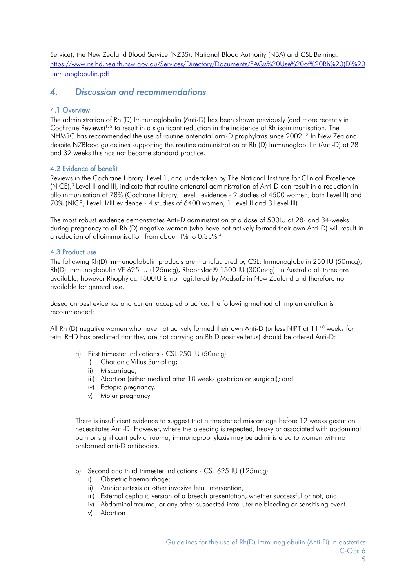Service), the New Zealand Blood Service (NZBS), National Blood Authority (NBA) and CSL Behring: [https://www.nslhd.health.nsw.gov.au/Services/Directory/Documents/FAQs%20Use%20of%20Rh%20\(D\)%20](https://www.nslhd.health.nsw.gov.au/Services/Directory/Documents/FAQs%20Use%20of%20Rh%20(D)%20Immunoglobulin.pdf) [Immunoglobulin.pdf](https://www.nslhd.health.nsw.gov.au/Services/Directory/Documents/FAQs%20Use%20of%20Rh%20(D)%20Immunoglobulin.pdf)

## <span id="page-4-0"></span>*4. Discussion and recommendations*

## <span id="page-4-1"></span>4.1 Overview

The administration of Rh (D) Immunoglobulin (Anti-D) has been shown previously (and more recently in Cochrane Reviews)<sup>1, [2](#page-6-4)</sup> to result in a significant reduction in the incidence of Rh isoimmunisation. The NHMRC has recommended the use of routine antenatal anti-D prophylaxis since 2002.<sup>3</sup> In New Zealand despite NZBlood guidelines supporting the routine administration of Rh (D) Immunoglobulin (Anti-D) at 28 and 32 weeks this has not become standard practice.

## <span id="page-4-2"></span>4.2 Evidence of benefit

Reviews in the Cochrane Library, Level 1, and undertaken by The National Institute for Clinical Excellence (NICE)[,3](#page-6-5) Level II and III, indicate that routine antenatal administration of Anti-D can result in a reduction in alloimmunisation of 78% (Cochrane Library, Level I evidence - 2 studies of 4500 women, both Level II) and 70% (NICE, Level II/III evidence - 4 studies of 6400 women, 1 Level II and 3 Level III).

The most robust evidence demonstrates Anti-D administration at a dose of 500IU at 28- and 34-weeks during pregnancy to all Rh (D) negative women (who have not actively formed their own Anti-D) will result in a reduction of alloimmunisation from about 1% to 0.35%.4

## <span id="page-4-3"></span>4.3 Product use

The following Rh(D) immunoglobulin products are manufactured by CSL: Immunoglobulin 250 IU (50mcg), Rh(D) Immunoglobulin VF 625 IU (125mcg), Rhophylac® 1500 IU (300mcg). In Australia all three are available, however Rhophylac 1500IU is not registered by Medsafe in New Zealand and therefore not available for general use.

Based on best evidence and current accepted practice, the following method of implementation is recommended:

AH Rh (D) negative women who have not actively formed their own Anti-D (unless NIPT at  $11^{+0}$  weeks for fetal RHD has predicted that they are not carrying an Rh D positive fetus) should be offered Anti-D:

- a) First trimester indications CSL 250 IU (50mcg)
	- i) Chorionic Villus Sampling;
	- ii) Miscarriage;
	- iii) Abortion (either medical after 10 weeks gestation or surgical); and
	- iv) Ectopic pregnancy.
	- v) Molar pregnancy

There is insufficient evidence to suggest that a threatened miscarriage before 12 weeks gestation necessitates Anti-D. However, where the bleeding is repeated, heavy or associated with abdominal pain or significant pelvic trauma, immunoprophylaxis may be administered to women with no preformed anti-D antibodies.

- b) Second and third trimester indications CSL 625 IU (125mcg)
	- i) Obstetric haemorrhage;
	- ii) Amniocentesis or other invasive fetal intervention;
	- iii) External cephalic version of a breech presentation, whether successful or not; and
	- iv) Abdominal trauma, or any other suspected intra-uterine bleeding or sensitising event.
	- v) Abortion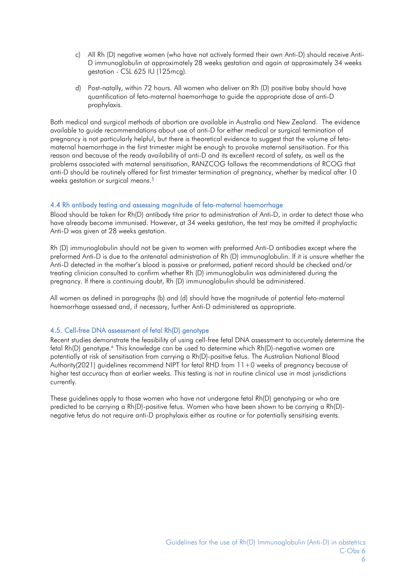- c) All Rh (D) negative women (who have not actively formed their own Anti-D) should receive Anti-D immunoglobulin at approximately 28 weeks gestation and again at approximately 34 weeks gestation - CSL 625 IU (125mcg).
- d) Post-natally, within 72 hours. All women who deliver an Rh (D) positive baby should have quantification of feto-maternal haemorrhage to guide the appropriate dose of anti-D prophylaxis.

Both medical and surgical methods of abortion are available in Australia and New Zealand. The evidence available to guide recommendations about use of anti-D for either medical or surgical termination of pregnancy is not particularly helpful, but there is theoretical evidence to suggest that the volume of fetomaternal haemorrhage in the first trimester might be enough to provoke maternal sensitisation. For this reason and because of the ready availability of anti-D and its excellent record of safety, as well as the problems associated with maternal sensitisation, RANZCOG follows the recommendations of RCOG that anti-D should be routinely offered for first trimester termination of pregnancy, whether by medical after 10 weeks gestation or surgical means.<sup>5</sup>

## <span id="page-5-0"></span>4.4 Rh antibody testing and assessing magnitude of feto-maternal haemorrhage

Blood should be taken for Rh(D) antibody titre prior to administration of Anti-D, in order to detect those who have already become immunised. However, at 34 weeks gestation, the test may be omitted if prophylactic Anti-D was given at 28 weeks gestation.

Rh (D) immunoglobulin should not be given to women with preformed Anti-D antibodies except where the preformed Anti-D is due to the antenatal administration of Rh (D) immunoglobulin. If it is unsure whether the Anti-D detected in the mother's blood is passive or preformed, patient record should be checked and/or treating clinician consulted to confirm whether Rh (D) immunoglobulin was administered during the pregnancy. If there is continuing doubt, Rh (D) immunoglobulin should be administered.

All women as defined in paragraphs (b) and (d) should have the magnitude of potential feto-maternal haemorrhage assessed and, if necessary, further Anti-D administered as appropriate.

## <span id="page-5-1"></span>4.5. Cell-free DNA assessment of fetal Rh(D) genotype

Recent studies demonstrate the feasibility of using cell-free fetal DNA assessment to accurately determine the fetal Rh(D) genotype.<sup>6</sup> This knowledge can be used to determine which Rh(D)-negative women are potentially at risk of sensitisation from carrying a Rh(D)-positive fetus. The Australian National Blood Authority(2021) guidelines recommend NIPT for fetal RHD from 11+0 weeks of pregnancy because of higher test accuracy than at earlier weeks. This testing is not in routine clinical use in most jurisdictions currently.

These guidelines apply to those women who have not undergone fetal Rh(D) genotyping or who are predicted to be carrying a Rh(D)-positive fetus. Women who have been shown to be carrying a Rh(D) negative fetus do not require anti-D prophylaxis either as routine or for potentially sensitising events.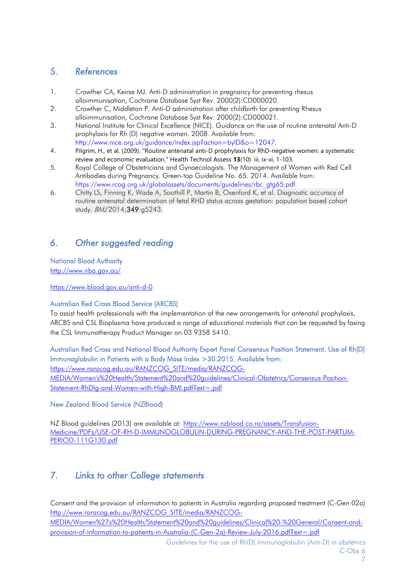# <span id="page-6-0"></span>5. *References*

- <span id="page-6-3"></span>1. Crowther CA, Keirse MJ. Anti-D administration in pregnancy for preventing rhesus alloimmunisation, Cochrane Database Syst Rev. 2000(2):CD000020.
- <span id="page-6-4"></span>2. Crowther C, Middleton P. Anti-D administration after childbirth for preventing Rhesus alloimmunisation, Cochrane Database Syst Rev. 2000(2):CD000021.
- <span id="page-6-5"></span>3. National Institute for Clinical Excellence (NICE). Guidance on the use of routine antenatal Anti-D prophylaxis for Rh (D) negative women. 2008. Available from: [http://www.nice.org.uk/guidance/index.jsp?action=byID&o=12047.](http://www.nice.org.uk/guidance/index.jsp?action=byID&o=12047)
- 4. Pilgrim, H., et al. (2009). "Routine antenatal anti-D prophylaxis for RhD-negative women: a systematic review and economic evaluation." Health Technol Assess **13**(10): iii, ix-xi, 1-103.
- 5. Royal College of Obstetricians and Gynaecologists. The Management of Women with Red Cell Antibodies during Pregnancy. Green-top Guideline No. 65. 2014. Available from: https://www.rcog.org.uk/globalassets/documents/guidelines/rbc\_gtg65.pdf
- 6. Chitty LS, Finning K, Wade A, Soothill P, Martin B, Oxenford K, et al. Diagnostic accuracy of routine antenatal determination of fetal RHD status across gestation: population based cohort study. BMJ 2014;349:g5243.

# <span id="page-6-1"></span>*6. Other suggested reading*

# National Blood Authority

<http://www.nba.gov.au/>

<https://www.blood.gov.au/anti-d-0>

## Australian Red Cross Blood Service (ARCBS)

To assist health professionals with the implementation of the new arrangements for antenatal prophylaxis, ARCBS and CSL Bioplasma have produced a range of educational materials that can be requested by faxing the CSL Immunotherapy Product Manager on 03 9358 5410.

Australian Red Cross and National Blood Authority Expert Panel Consensus Position Statement. [Use of Rh\(D\)](http://www.ranzcog.edu.au/doc/use-of-rhd-immunoglobulin-in-patients-with-a-body-mass-index-30.html)  [Immunoglobulin in Patients with a Body Mass Index >30.](http://www.ranzcog.edu.au/doc/use-of-rhd-immunoglobulin-in-patients-with-a-body-mass-index-30.html)2015. Available from: [https://www.ranzcog.edu.au/RANZCOG\\_SITE/media/RANZCOG-](https://www.ranzcog.edu.au/RANZCOG_SITE/media/RANZCOG-MEDIA/Women)[MEDIA/Women's%20Health/Statement%20and%20guidelines/Clinical-Obstetrics/Consensus-Position-](https://www.ranzcog.edu.au/RANZCOG_SITE/media/RANZCOG-MEDIA/Women)[Statement-RhDIg-and-Women-with-High-BMI.pdf?ext=.pdf](https://www.ranzcog.edu.au/RANZCOG_SITE/media/RANZCOG-MEDIA/Women) 

## New Zealand Blood Service (NZBlood)

NZ Blood guidelines (2013) are available at: [https://www.nzblood.co.nz/assets/Transfusion-](https://www.nzblood.co.nz/assets/Transfusion-Medicine/PDFs/USE-OF-RH-D-IMMUNOGLOBULIN-DURING-PREGNANCY-AND-THE-POST-PARTUM-PERIOD-111G130.pdf)[Medicine/PDFs/USE-OF-RH-D-IMMUNOGLOBULIN-DURING-PREGNANCY-AND-THE-POST-PARTUM-](https://www.nzblood.co.nz/assets/Transfusion-Medicine/PDFs/USE-OF-RH-D-IMMUNOGLOBULIN-DURING-PREGNANCY-AND-THE-POST-PARTUM-PERIOD-111G130.pdf)[PERIOD-111G130.pdf](https://www.nzblood.co.nz/assets/Transfusion-Medicine/PDFs/USE-OF-RH-D-IMMUNOGLOBULIN-DURING-PREGNANCY-AND-THE-POST-PARTUM-PERIOD-111G130.pdf)

# <span id="page-6-2"></span>*7. Links to other College statements*

Consent and the provision of information to patients in Australia regarding proposed treatment (C-Gen 02a) [http://www.ranzcog.edu.au/RANZCOG\\_SITE/media/RANZCOG-](http://www.ranzcog.edu.au/RANZCOG_SITE/media/RANZCOG-MEDIA/Women%27s%20Health/Statement%20and%20guidelines/Clinical%20-%20General/Consent-and-provision-of-information-to-patients-in-Australia-(C-Gen-2a)-Review-July-2016.pdf?ext=.pdf)[MEDIA/Women%27s%20Health/Statement%20and%20guidelines/Clinical%20-%20General/Consent-and](http://www.ranzcog.edu.au/RANZCOG_SITE/media/RANZCOG-MEDIA/Women%27s%20Health/Statement%20and%20guidelines/Clinical%20-%20General/Consent-and-provision-of-information-to-patients-in-Australia-(C-Gen-2a)-Review-July-2016.pdf?ext=.pdf)[provision-of-information-to-patients-in-Australia-\(C-Gen-2a\)-Review-July-2016.pdf?ext=.pdf](http://www.ranzcog.edu.au/RANZCOG_SITE/media/RANZCOG-MEDIA/Women%27s%20Health/Statement%20and%20guidelines/Clinical%20-%20General/Consent-and-provision-of-information-to-patients-in-Australia-(C-Gen-2a)-Review-July-2016.pdf?ext=.pdf)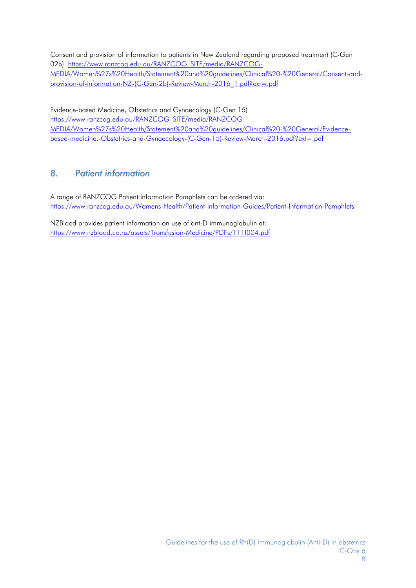Consent and provision of information to patients in New Zealand regarding proposed treatment (C-Gen 02b) https://www.ranzcog.edu.au/RANZCOG SITE/media/RANZCOG-[MEDIA/Women%27s%20Health/Statement%20and%20guidelines/Clinical%20-%20General/Consent-and](https://www.ranzcog.edu.au/RANZCOG_SITE/media/RANZCOG-MEDIA/Women%27s%20Health/Statement%20and%20guidelines/Clinical%20-%20General/Consent-and-provision-of-information-NZ-(C-Gen-2b)-Review-March-2016_1.pdf?ext=.pdf)[provision-of-information-NZ-\(C-Gen-2b\)-Review-March-2016\\_1.pdf?ext=.pdf](https://www.ranzcog.edu.au/RANZCOG_SITE/media/RANZCOG-MEDIA/Women%27s%20Health/Statement%20and%20guidelines/Clinical%20-%20General/Consent-and-provision-of-information-NZ-(C-Gen-2b)-Review-March-2016_1.pdf?ext=.pdf)

Evidence-based Medicine, Obstetrics and Gynaecology (C-Gen 15) [https://www.ranzcog.edu.au/RANZCOG\\_SITE/media/RANZCOG-](https://www.ranzcog.edu.au/RANZCOG_SITE/media/RANZCOG-MEDIA/Women%27s%20Health/Statement%20and%20guidelines/Clinical%20-%20General/Evidence-based-medicine,-Obstetrics-and-Gynaecology-(C-Gen-15)-Review-March-2016.pdf?ext=.pdf)[MEDIA/Women%27s%20Health/Statement%20and%20guidelines/Clinical%20-%20General/Evidence](https://www.ranzcog.edu.au/RANZCOG_SITE/media/RANZCOG-MEDIA/Women%27s%20Health/Statement%20and%20guidelines/Clinical%20-%20General/Evidence-based-medicine,-Obstetrics-and-Gynaecology-(C-Gen-15)-Review-March-2016.pdf?ext=.pdf)[based-medicine,-Obstetrics-and-Gynaecology-\(C-Gen-15\)-Review-March-2016.pdf?ext=.pdf](https://www.ranzcog.edu.au/RANZCOG_SITE/media/RANZCOG-MEDIA/Women%27s%20Health/Statement%20and%20guidelines/Clinical%20-%20General/Evidence-based-medicine,-Obstetrics-and-Gynaecology-(C-Gen-15)-Review-March-2016.pdf?ext=.pdf)

# <span id="page-7-0"></span>*8. Patient information*

A range of RANZCOG Patient Information Pamphlets can be ordered via: <https://www.ranzcog.edu.au/Womens-Health/Patient-Information-Guides/Patient-Information-Pamphlets>

NZBlood provides patient information on use of ant-D immunoglobulin at: <https://www.nzblood.co.nz/assets/Transfusion-Medicine/PDFs/111I004.pdf>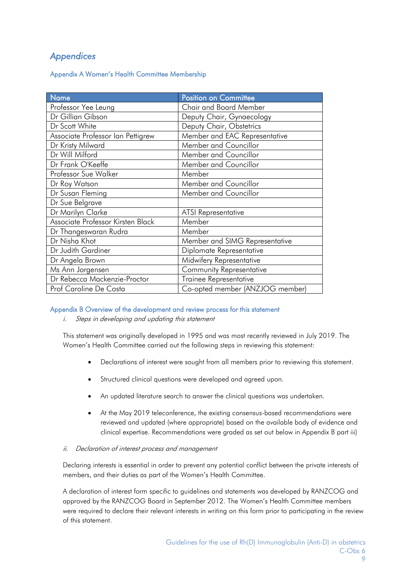# <span id="page-8-0"></span>*Appendices*

<span id="page-8-1"></span>Appendix A Women's Health Committee Membership

| <b>Name</b>                       | <b>Position on Committee</b>    |
|-----------------------------------|---------------------------------|
| Professor Yee Leung               | <b>Chair and Board Member</b>   |
| Dr Gillian Gibson                 | Deputy Chair, Gynaecology       |
| Dr Scott White                    | Deputy Chair, Obstetrics        |
| Associate Professor Ian Pettigrew | Member and EAC Representative   |
| Dr Kristy Milward                 | Member and Councillor           |
| Dr Will Milford                   | Member and Councillor           |
| Dr Frank O'Keeffe                 | Member and Councillor           |
| Professor Sue Walker              | Member                          |
| Dr Roy Watson                     | Member and Councillor           |
| Dr Susan Fleming                  | Member and Councillor           |
| Dr Sue Belgrave                   |                                 |
| Dr Marilyn Clarke                 | <b>ATSI Representative</b>      |
| Associate Professor Kirsten Black | Member                          |
| Dr Thangeswaran Rudra             | Member                          |
| Dr Nisha Khot                     | Member and SIMG Representative  |
| Dr Judith Gardiner                | Diplomate Representative        |
| Dr Angela Brown                   | Midwifery Representative        |
| Ms Ann Jorgensen                  | Community Representative        |
| Dr Rebecca Mackenzie-Proctor      | Trainee Representative          |
| Prof Caroline De Costa            | Co-opted member (ANZJOG member) |

## <span id="page-8-2"></span>Appendix B Overview of the development and review process for this statement

i. Steps in developing and updating this statement

This statement was originally developed in 1995 and was most recently reviewed in July 2019. The Women's Health Committee carried out the following steps in reviewing this statement:

- Declarations of interest were sought from all members prior to reviewing this statement.
- Structured clinical questions were developed and agreed upon.
- An updated literature search to answer the clinical questions was undertaken.
- At the May 2019 teleconference, the existing consensus-based recommendations were reviewed and updated (where appropriate) based on the available body of evidence and clinical expertise. Recommendations were graded as set out below in Appendix B part iii)

## ii. Declaration of interest process and management

Declaring interests is essential in order to prevent any potential conflict between the private interests of members, and their duties as part of the Women's Health Committee.

A declaration of interest form specific to guidelines and statements was developed by RANZCOG and approved by the RANZCOG Board in September 2012. The Women's Health Committee members were required to declare their relevant interests in writing on this form prior to participating in the review of this statement.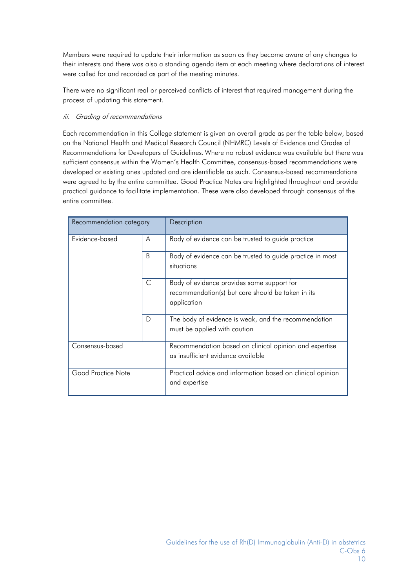Members were required to update their information as soon as they become aware of any changes to their interests and there was also a standing agenda item at each meeting where declarations of interest were called for and recorded as part of the meeting minutes.

There were no significant real or perceived conflicts of interest that required management during the process of updating this statement.

## iii. Grading of recommendations

Each recommendation in this College statement is given an overall grade as per the table below, based on the National Health and Medical Research Council (NHMRC) Levels of Evidence and Grades of Recommendations for Developers of Guidelines. Where no robust evidence was available but there was sufficient consensus within the Women's Health Committee, consensus-based recommendations were developed or existing ones updated and are identifiable as such. Consensus-based recommendations were agreed to by the entire committee. Good Practice Notes are highlighted throughout and provide practical guidance to facilitate implementation. These were also developed through consensus of the entire committee.

| Recommendation category |              | Description                                                                                                    |
|-------------------------|--------------|----------------------------------------------------------------------------------------------------------------|
| Evidence-based          | A            | Body of evidence can be trusted to guide practice                                                              |
|                         | <sub>B</sub> | Body of evidence can be trusted to guide practice in most<br>situations                                        |
|                         | C            | Body of evidence provides some support for<br>recommendation(s) but care should be taken in its<br>application |
|                         | D            | The body of evidence is weak, and the recommendation<br>must be applied with caution                           |
| Consensus-based         |              | Recommendation based on clinical opinion and expertise<br>as insufficient evidence available                   |
| Good Practice Note      |              | Practical advice and information based on clinical opinion<br>and expertise                                    |